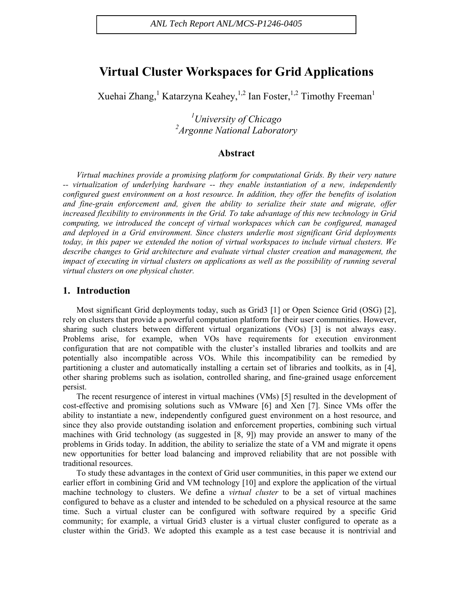# **Virtual Cluster Workspaces for Grid Applications**

Xuehai Zhang, Katarzyna Keahey, <sup>1,2</sup> Ian Foster, <sup>1,2</sup> Timothy Freeman<sup>1</sup>

*1 University of Chicago 2 Argonne National Laboratory* 

# **Abstract**

*Virtual machines provide a promising platform for computational Grids. By their very nature -- virtualization of underlying hardware -- they enable instantiation of a new, independently configured guest environment on a host resource. In addition, they offer the benefits of isolation and fine-grain enforcement and, given the ability to serialize their state and migrate, offer increased flexibility to environments in the Grid. To take advantage of this new technology in Grid computing, we introduced the concept of virtual workspaces which can be configured, managed and deployed in a Grid environment. Since clusters underlie most significant Grid deployments today, in this paper we extended the notion of virtual workspaces to include virtual clusters. We describe changes to Grid architecture and evaluate virtual cluster creation and management, the impact of executing in virtual clusters on applications as well as the possibility of running several virtual clusters on one physical cluster.* 

# **1. Introduction**

Most significant Grid deployments today, such as Grid3 [1] or Open Science Grid (OSG) [2], rely on clusters that provide a powerful computation platform for their user communities. However, sharing such clusters between different virtual organizations (VOs) [3] is not always easy. Problems arise, for example, when VOs have requirements for execution environment configuration that are not compatible with the cluster's installed libraries and toolkits and are potentially also incompatible across VOs. While this incompatibility can be remedied by partitioning a cluster and automatically installing a certain set of libraries and toolkits, as in [4], other sharing problems such as isolation, controlled sharing, and fine-grained usage enforcement persist.

The recent resurgence of interest in virtual machines (VMs) [5] resulted in the development of cost-effective and promising solutions such as VMware [6] and Xen [7]. Since VMs offer the ability to instantiate a new, independently configured guest environment on a host resource, and since they also provide outstanding isolation and enforcement properties, combining such virtual machines with Grid technology (as suggested in [8, 9]) may provide an answer to many of the problems in Grids today. In addition, the ability to serialize the state of a VM and migrate it opens new opportunities for better load balancing and improved reliability that are not possible with traditional resources.

To study these advantages in the context of Grid user communities, in this paper we extend our earlier effort in combining Grid and VM technology [10] and explore the application of the virtual machine technology to clusters. We define a *virtual cluster* to be a set of virtual machines configured to behave as a cluster and intended to be scheduled on a physical resource at the same time. Such a virtual cluster can be configured with software required by a specific Grid community; for example, a virtual Grid3 cluster is a virtual cluster configured to operate as a cluster within the Grid3. We adopted this example as a test case because it is nontrivial and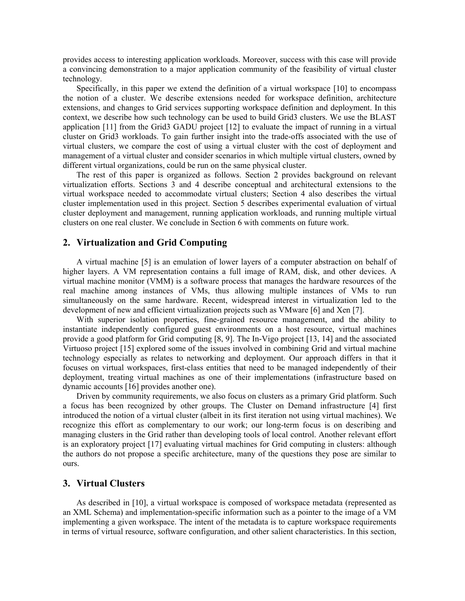provides access to interesting application workloads. Moreover, success with this case will provide a convincing demonstration to a major application community of the feasibility of virtual cluster technology.

Specifically, in this paper we extend the definition of a virtual workspace [10] to encompass the notion of a cluster. We describe extensions needed for workspace definition, architecture extensions, and changes to Grid services supporting workspace definition and deployment. In this context, we describe how such technology can be used to build Grid3 clusters. We use the BLAST application [11] from the Grid3 GADU project [12] to evaluate the impact of running in a virtual cluster on Grid3 workloads. To gain further insight into the trade-offs associated with the use of virtual clusters, we compare the cost of using a virtual cluster with the cost of deployment and management of a virtual cluster and consider scenarios in which multiple virtual clusters, owned by different virtual organizations, could be run on the same physical cluster.

The rest of this paper is organized as follows. Section 2 provides background on relevant virtualization efforts. Sections 3 and 4 describe conceptual and architectural extensions to the virtual workspace needed to accommodate virtual clusters; Section 4 also describes the virtual cluster implementation used in this project. Section 5 describes experimental evaluation of virtual cluster deployment and management, running application workloads, and running multiple virtual clusters on one real cluster. We conclude in Section 6 with comments on future work.

# **2. Virtualization and Grid Computing**

A virtual machine [5] is an emulation of lower layers of a computer abstraction on behalf of higher layers. A VM representation contains a full image of RAM, disk, and other devices. A virtual machine monitor (VMM) is a software process that manages the hardware resources of the real machine among instances of VMs, thus allowing multiple instances of VMs to run simultaneously on the same hardware. Recent, widespread interest in virtualization led to the development of new and efficient virtualization projects such as VMware [6] and Xen [7].

With superior isolation properties, fine-grained resource management, and the ability to instantiate independently configured guest environments on a host resource, virtual machines provide a good platform for Grid computing [8, 9]. The In-Vigo project [13, 14] and the associated Virtuoso project [15] explored some of the issues involved in combining Grid and virtual machine technology especially as relates to networking and deployment. Our approach differs in that it focuses on virtual workspaces, first-class entities that need to be managed independently of their deployment, treating virtual machines as one of their implementations (infrastructure based on dynamic accounts [16] provides another one).

Driven by community requirements, we also focus on clusters as a primary Grid platform. Such a focus has been recognized by other groups. The Cluster on Demand infrastructure [4] first introduced the notion of a virtual cluster (albeit in its first iteration not using virtual machines). We recognize this effort as complementary to our work; our long-term focus is on describing and managing clusters in the Grid rather than developing tools of local control. Another relevant effort is an exploratory project [17] evaluating virtual machines for Grid computing in clusters: although the authors do not propose a specific architecture, many of the questions they pose are similar to ours.

# **3. Virtual Clusters**

As described in [10], a virtual workspace is composed of workspace metadata (represented as an XML Schema) and implementation-specific information such as a pointer to the image of a VM implementing a given workspace. The intent of the metadata is to capture workspace requirements in terms of virtual resource, software configuration, and other salient characteristics. In this section,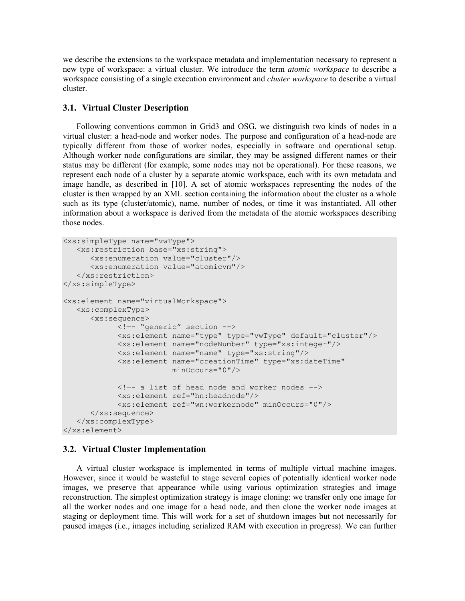we describe the extensions to the workspace metadata and implementation necessary to represent a new type of workspace: a virtual cluster. We introduce the term *atomic workspace* to describe a workspace consisting of a single execution environment and *cluster workspace* to describe a virtual cluster.

#### **3.1. Virtual Cluster Description**

Following conventions common in Grid3 and OSG, we distinguish two kinds of nodes in a virtual cluster: a head-node and worker nodes. The purpose and configuration of a head-node are typically different from those of worker nodes, especially in software and operational setup. Although worker node configurations are similar, they may be assigned different names or their status may be different (for example, some nodes may not be operational). For these reasons, we represent each node of a cluster by a separate atomic workspace, each with its own metadata and image handle, as described in [10]. A set of atomic workspaces representing the nodes of the cluster is then wrapped by an XML section containing the information about the cluster as a whole such as its type (cluster/atomic), name, number of nodes, or time it was instantiated. All other information about a workspace is derived from the metadata of the atomic workspaces describing those nodes.

```
<xs:simpleType name="vwType"> 
    <xs:restriction base="xs:string"> 
       <xs:enumeration value="cluster"/> 
       <xs:enumeration value="atomicvm"/> 
    </xs:restriction> 
</xs:simpleType> 
<xs:element name="virtualWorkspace"> 
    <xs:complexType> 
       <xs:sequence> 
              <!—- "generic" section --> 
              <xs:element name="type" type="vwType" default="cluster"/> 
              <xs:element name="nodeNumber" type="xs:integer"/> 
              <xs:element name="name" type="xs:string"/> 
              <xs:element name="creationTime" type="xs:dateTime" 
                          minOccurs="0"/> 
             \langle -\rangle a list of head node and worker nodes \langle -\rangle <xs:element ref="hn:headnode"/> 
              <xs:element ref="wn:workernode" minOccurs="0"/> 
       </xs:sequence> 
    </xs:complexType> 
</xs:element>
```
#### **3.2. Virtual Cluster Implementation**

A virtual cluster workspace is implemented in terms of multiple virtual machine images. However, since it would be wasteful to stage several copies of potentially identical worker node images, we preserve that appearance while using various optimization strategies and image reconstruction. The simplest optimization strategy is image cloning: we transfer only one image for all the worker nodes and one image for a head node, and then clone the worker node images at staging or deployment time. This will work for a set of shutdown images but not necessarily for paused images (i.e., images including serialized RAM with execution in progress). We can further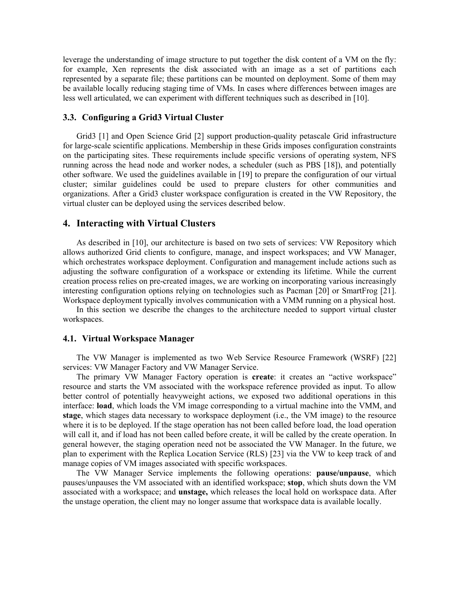leverage the understanding of image structure to put together the disk content of a VM on the fly: for example, Xen represents the disk associated with an image as a set of partitions each represented by a separate file; these partitions can be mounted on deployment. Some of them may be available locally reducing staging time of VMs. In cases where differences between images are less well articulated, we can experiment with different techniques such as described in [10].

# **3.3. Configuring a Grid3 Virtual Cluster**

Grid3 [1] and Open Science Grid [2] support production-quality petascale Grid infrastructure for large-scale scientific applications. Membership in these Grids imposes configuration constraints on the participating sites. These requirements include specific versions of operating system, NFS running across the head node and worker nodes, a scheduler (such as PBS [18]), and potentially other software. We used the guidelines available in [19] to prepare the configuration of our virtual cluster; similar guidelines could be used to prepare clusters for other communities and organizations. After a Grid3 cluster workspace configuration is created in the VW Repository, the virtual cluster can be deployed using the services described below.

## **4. Interacting with Virtual Clusters**

As described in [10], our architecture is based on two sets of services: VW Repository which allows authorized Grid clients to configure, manage, and inspect workspaces; and VW Manager, which orchestrates workspace deployment. Configuration and management include actions such as adjusting the software configuration of a workspace or extending its lifetime. While the current creation process relies on pre-created images, we are working on incorporating various increasingly interesting configuration options relying on technologies such as Pacman [20] or SmartFrog [21]. Workspace deployment typically involves communication with a VMM running on a physical host.

In this section we describe the changes to the architecture needed to support virtual cluster workspaces.

### **4.1. Virtual Workspace Manager**

The VW Manager is implemented as two Web Service Resource Framework (WSRF) [22] services: VW Manager Factory and VW Manager Service.

The primary VW Manager Factory operation is **create**: it creates an "active workspace" resource and starts the VM associated with the workspace reference provided as input. To allow better control of potentially heavyweight actions, we exposed two additional operations in this interface: **load**, which loads the VM image corresponding to a virtual machine into the VMM, and **stage**, which stages data necessary to workspace deployment (i.e., the VM image) to the resource where it is to be deployed. If the stage operation has not been called before load, the load operation will call it, and if load has not been called before create, it will be called by the create operation. In general however, the staging operation need not be associated the VW Manager. In the future, we plan to experiment with the Replica Location Service (RLS) [23] via the VW to keep track of and manage copies of VM images associated with specific workspaces.

The VW Manager Service implements the following operations: **pause/unpause**, which pauses/unpauses the VM associated with an identified workspace; **stop**, which shuts down the VM associated with a workspace; and **unstage,** which releases the local hold on workspace data. After the unstage operation, the client may no longer assume that workspace data is available locally.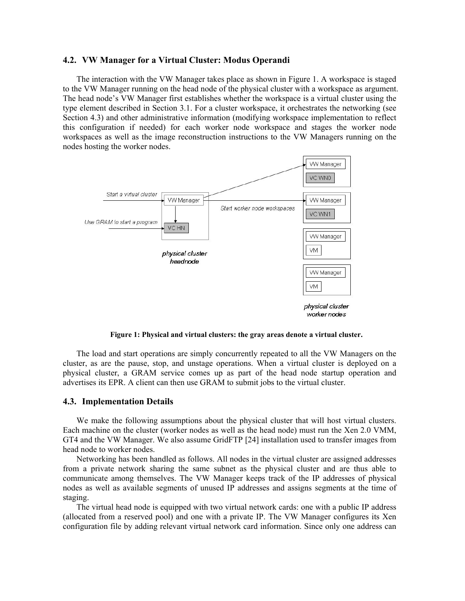### **4.2. VW Manager for a Virtual Cluster: Modus Operandi**

The interaction with the VW Manager takes place as shown in Figure 1. A workspace is staged to the VW Manager running on the head node of the physical cluster with a workspace as argument. The head node's VW Manager first establishes whether the workspace is a virtual cluster using the type element described in Section 3.1. For a cluster workspace, it orchestrates the networking (see Section 4.3) and other administrative information (modifying workspace implementation to reflect this configuration if needed) for each worker node workspace and stages the worker node workspaces as well as the image reconstruction instructions to the VW Managers running on the nodes hosting the worker nodes.



**Figure 1: Physical and virtual clusters: the gray areas denote a virtual cluster.** 

The load and start operations are simply concurrently repeated to all the VW Managers on the cluster, as are the pause, stop, and unstage operations. When a virtual cluster is deployed on a physical cluster, a GRAM service comes up as part of the head node startup operation and advertises its EPR. A client can then use GRAM to submit jobs to the virtual cluster.

#### **4.3. Implementation Details**

We make the following assumptions about the physical cluster that will host virtual clusters. Each machine on the cluster (worker nodes as well as the head node) must run the Xen 2.0 VMM, GT4 and the VW Manager. We also assume GridFTP [24] installation used to transfer images from head node to worker nodes.

Networking has been handled as follows. All nodes in the virtual cluster are assigned addresses from a private network sharing the same subnet as the physical cluster and are thus able to communicate among themselves. The VW Manager keeps track of the IP addresses of physical nodes as well as available segments of unused IP addresses and assigns segments at the time of staging.

The virtual head node is equipped with two virtual network cards: one with a public IP address (allocated from a reserved pool) and one with a private IP. The VW Manager configures its Xen configuration file by adding relevant virtual network card information. Since only one address can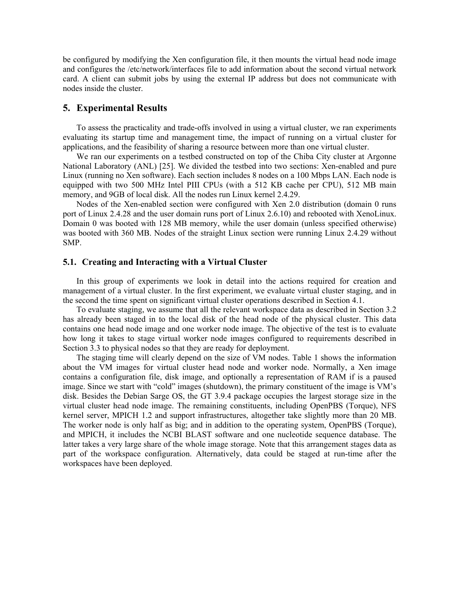be configured by modifying the Xen configuration file, it then mounts the virtual head node image and configures the /etc/network/interfaces file to add information about the second virtual network card. A client can submit jobs by using the external IP address but does not communicate with nodes inside the cluster.

# **5. Experimental Results**

To assess the practicality and trade-offs involved in using a virtual cluster, we ran experiments evaluating its startup time and management time, the impact of running on a virtual cluster for applications, and the feasibility of sharing a resource between more than one virtual cluster.

We ran our experiments on a testbed constructed on top of the Chiba City cluster at Argonne National Laboratory (ANL) [25]. We divided the testbed into two sections: Xen-enabled and pure Linux (running no Xen software). Each section includes 8 nodes on a 100 Mbps LAN. Each node is equipped with two 500 MHz Intel PIII CPUs (with a 512 KB cache per CPU), 512 MB main memory, and 9GB of local disk. All the nodes run Linux kernel 2.4.29.

Nodes of the Xen-enabled section were configured with Xen 2.0 distribution (domain 0 runs port of Linux 2.4.28 and the user domain runs port of Linux 2.6.10) and rebooted with XenoLinux. Domain 0 was booted with 128 MB memory, while the user domain (unless specified otherwise) was booted with 360 MB. Nodes of the straight Linux section were running Linux 2.4.29 without SMP.

# **5.1. Creating and Interacting with a Virtual Cluster**

In this group of experiments we look in detail into the actions required for creation and management of a virtual cluster. In the first experiment, we evaluate virtual cluster staging, and in the second the time spent on significant virtual cluster operations described in Section 4.1.

To evaluate staging, we assume that all the relevant workspace data as described in Section 3.2 has already been staged in to the local disk of the head node of the physical cluster. This data contains one head node image and one worker node image. The objective of the test is to evaluate how long it takes to stage virtual worker node images configured to requirements described in Section 3.3 to physical nodes so that they are ready for deployment.

The staging time will clearly depend on the size of VM nodes. Table 1 shows the information about the VM images for virtual cluster head node and worker node. Normally, a Xen image contains a configuration file, disk image, and optionally a representation of RAM if is a paused image. Since we start with "cold" images (shutdown), the primary constituent of the image is VM's disk. Besides the Debian Sarge OS, the GT 3.9.4 package occupies the largest storage size in the virtual cluster head node image. The remaining constituents, including OpenPBS (Torque), NFS kernel server, MPICH 1.2 and support infrastructures, altogether take slightly more than 20 MB. The worker node is only half as big; and in addition to the operating system, OpenPBS (Torque), and MPICH, it includes the NCBI BLAST software and one nucleotide sequence database. The latter takes a very large share of the whole image storage. Note that this arrangement stages data as part of the workspace configuration. Alternatively, data could be staged at run-time after the workspaces have been deployed.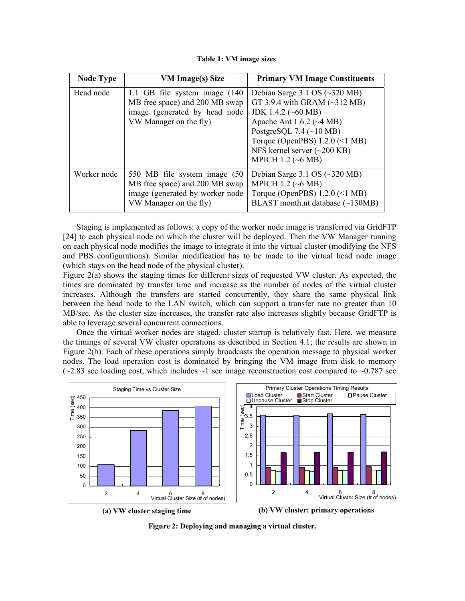**Table 1: VM image sizes** 

| <b>Node Type</b> | <b>VM Image(s) Size</b>                                                                                                       | <b>Primary VM Image Constituents</b>                                                                                                                                                                                                                                                                                        |
|------------------|-------------------------------------------------------------------------------------------------------------------------------|-----------------------------------------------------------------------------------------------------------------------------------------------------------------------------------------------------------------------------------------------------------------------------------------------------------------------------|
| Head node        | 1.1 GB file system image (140)<br>MB free space) and 200 MB swap<br>image (generated by head node<br>VW Manager on the fly)   | Debian Sarge 3.1 OS $(\sim]320 \text{ MB})$<br>GT 3.9.4 with GRAM $(\sim]312 \text{ MB})$<br>JDK 1.4.2 ( $\sim 60$ MB)<br>Apache Ant $1.6.2$ ( $\sim$ 4 MB)<br>PostgreSQL 7.4 $(\sim 10 \text{ MB})$<br>Torque (OpenPBS) $1.2.0 \le l M$ B)<br>NFS kernel server $(\sim 200 \text{ KB})$<br>MPICH 1.2 $(\sim 6 \text{ MB})$ |
| Worker node      | 550 MB file system image (50)<br>MB free space) and 200 MB swap<br>image (generated by worker node)<br>VW Manager on the fly) | Debian Sarge 3.1 OS $(\sim]320 \text{ MB})$<br>MPICH 1.2 ( $\sim$ 6 MB)<br>Torque (OpenPBS) $1.2.0 \le l M$ B)<br>BLAST month.nt database $(\sim 130MB)$                                                                                                                                                                    |

Staging is implemented as follows: a copy of the worker node image is transferred via GridFTP [24] to each physical node on which the cluster will be deployed. Then the VW Manager running on each physical node modifies the image to integrate it into the virtual cluster (modifying the NFS and PBS configurations). Similar modification has to be made to the virtual head node image (which stays on the head node of the physical cluster).

Figure 2(a) shows the staging times for different sizes of requested VW cluster. As expected, the times are dominated by transfer time and increase as the number of nodes of the virtual cluster increases. Although the transfers are started concurrently, they share the same physical link between the head node to the LAN switch, which can support a transfer rate no greater than 10 MB/sec. As the cluster size increases, the transfer rate also increases slightly because GridFTP is able to leverage several concurrent connections.

Once the virtual worker nodes are staged, cluster startup is relatively fast. Here, we measure the timings of several VW cluster operations as described in Section 4.1; the results are shown in Figure 2(b). Each of these operations simply broadcasts the operation message to physical worker nodes. The load operation cost is dominated by bringing the VM image from disk to memory  $\sim$  2.83 sec loading cost, which includes  $\sim$ 1 sec image reconstruction cost compared to  $\sim$  0.787 sec



**Figure 2: Deploying and managing a virtual cluster.**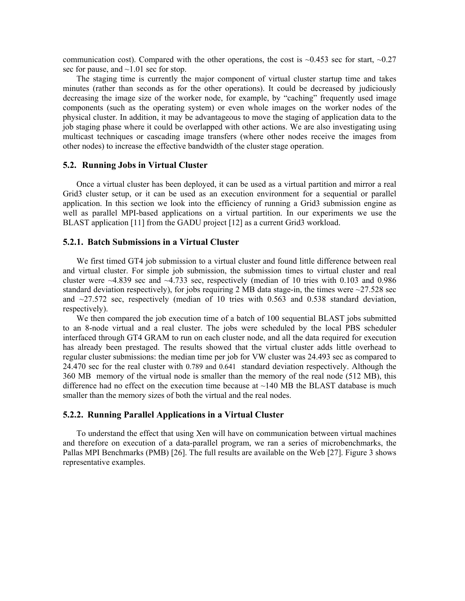communication cost). Compared with the other operations, the cost is  $\sim 0.453$  sec for start,  $\sim 0.27$ sec for pause, and  $\sim$ 1.01 sec for stop.

The staging time is currently the major component of virtual cluster startup time and takes minutes (rather than seconds as for the other operations). It could be decreased by judiciously decreasing the image size of the worker node, for example, by "caching" frequently used image components (such as the operating system) or even whole images on the worker nodes of the physical cluster. In addition, it may be advantageous to move the staging of application data to the job staging phase where it could be overlapped with other actions. We are also investigating using multicast techniques or cascading image transfers (where other nodes receive the images from other nodes) to increase the effective bandwidth of the cluster stage operation.

# **5.2. Running Jobs in Virtual Cluster**

Once a virtual cluster has been deployed, it can be used as a virtual partition and mirror a real Grid3 cluster setup, or it can be used as an execution environment for a sequential or parallel application. In this section we look into the efficiency of running a Grid3 submission engine as well as parallel MPI-based applications on a virtual partition. In our experiments we use the BLAST application [11] from the GADU project [12] as a current Grid3 workload.

## **5.2.1. Batch Submissions in a Virtual Cluster**

We first timed GT4 job submission to a virtual cluster and found little difference between real and virtual cluster. For simple job submission, the submission times to virtual cluster and real cluster were  $\sim$ 4.839 sec and  $\sim$ 4.733 sec, respectively (median of 10 tries with 0.103 and 0.986 standard deviation respectively), for jobs requiring 2 MB data stage-in, the times were  $\sim$ 27.528 sec and  $\sim$ 27.572 sec, respectively (median of 10 tries with 0.563 and 0.538 standard deviation, respectively).

We then compared the job execution time of a batch of 100 sequential BLAST jobs submitted to an 8-node virtual and a real cluster. The jobs were scheduled by the local PBS scheduler interfaced through GT4 GRAM to run on each cluster node, and all the data required for execution has already been prestaged. The results showed that the virtual cluster adds little overhead to regular cluster submissions: the median time per job for VW cluster was 24.493 sec as compared to 24.470 sec for the real cluster with 0.789 and 0.641 standard deviation respectively. Although the 360 MB memory of the virtual node is smaller than the memory of the real node (512 MB), this difference had no effect on the execution time because at  $\sim$ 140 MB the BLAST database is much smaller than the memory sizes of both the virtual and the real nodes.

# **5.2.2. Running Parallel Applications in a Virtual Cluster**

To understand the effect that using Xen will have on communication between virtual machines and therefore on execution of a data-parallel program, we ran a series of microbenchmarks, the Pallas MPI Benchmarks (PMB) [26]. The full results are available on the Web [27]. Figure 3 shows representative examples.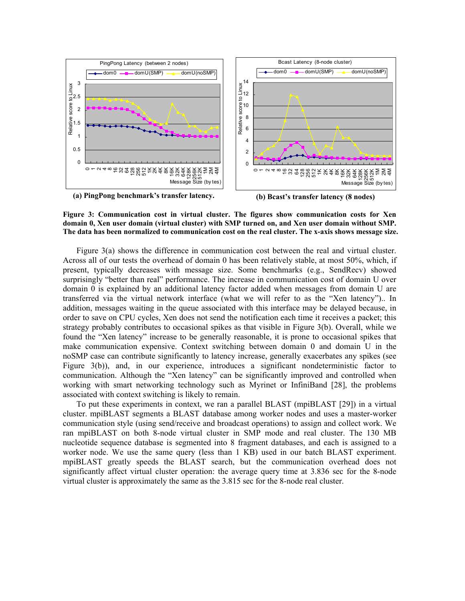



Figure 3(a) shows the difference in communication cost between the real and virtual cluster. Across all of our tests the overhead of domain 0 has been relatively stable, at most 50%, which, if present, typically decreases with message size. Some benchmarks (e.g., SendRecv) showed surprisingly "better than real" performance. The increase in communication cost of domain U over domain 0 is explained by an additional latency factor added when messages from domain U are transferred via the virtual network interface (what we will refer to as the "Xen latency").. In addition, messages waiting in the queue associated with this interface may be delayed because, in order to save on CPU cycles, Xen does not send the notification each time it receives a packet; this strategy probably contributes to occasional spikes as that visible in Figure 3(b). Overall, while we found the "Xen latency" increase to be generally reasonable, it is prone to occasional spikes that make communication expensive. Context switching between domain 0 and domain U in the noSMP case can contribute significantly to latency increase, generally exacerbates any spikes (see Figure 3(b)), and, in our experience, introduces a significant nondeterministic factor to communication. Although the "Xen latency" can be significantly improved and controlled when working with smart networking technology such as Myrinet or InfiniBand [28], the problems associated with context switching is likely to remain.

To put these experiments in context, we ran a parallel BLAST (mpiBLAST [29]) in a virtual cluster. mpiBLAST segments a BLAST database among worker nodes and uses a master-worker communication style (using send/receive and broadcast operations) to assign and collect work. We ran mpiBLAST on both 8-node virtual cluster in SMP mode and real cluster. The 130 MB nucleotide sequence database is segmented into 8 fragment databases, and each is assigned to a worker node. We use the same query (less than 1 KB) used in our batch BLAST experiment. mpiBLAST greatly speeds the BLAST search, but the communication overhead does not significantly affect virtual cluster operation: the average query time at 3.836 sec for the 8-node virtual cluster is approximately the same as the 3.815 sec for the 8-node real cluster.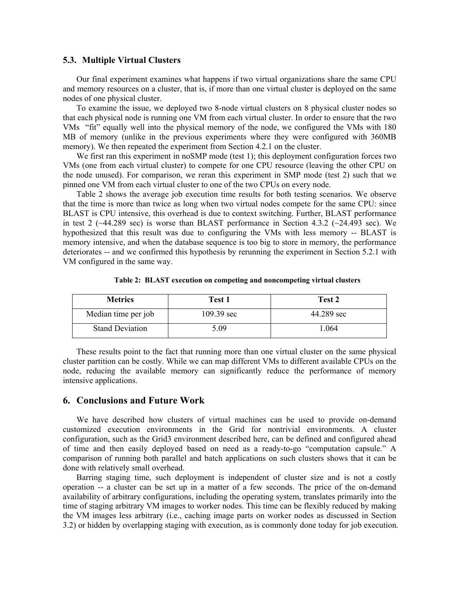#### **5.3. Multiple Virtual Clusters**

Our final experiment examines what happens if two virtual organizations share the same CPU and memory resources on a cluster, that is, if more than one virtual cluster is deployed on the same nodes of one physical cluster.

To examine the issue, we deployed two 8-node virtual clusters on 8 physical cluster nodes so that each physical node is running one VM from each virtual cluster. In order to ensure that the two VMs "fit" equally well into the physical memory of the node, we configured the VMs with 180 MB of memory (unlike in the previous experiments where they were configured with 360MB memory). We then repeated the experiment from Section 4.2.1 on the cluster.

We first ran this experiment in noSMP mode (test 1); this deployment configuration forces two VMs (one from each virtual cluster) to compete for one CPU resource (leaving the other CPU on the node unused). For comparison, we reran this experiment in SMP mode (test 2) such that we pinned one VM from each virtual cluster to one of the two CPUs on every node.

Table 2 shows the average job execution time results for both testing scenarios. We observe that the time is more than twice as long when two virtual nodes compete for the same CPU: since BLAST is CPU intensive, this overhead is due to context switching. Further, BLAST performance in test 2 ( $\sim$ 44.289 sec) is worse than BLAST performance in Section 4.3.2 ( $\sim$ 24.493 sec). We hypothesized that this result was due to configuring the VMs with less memory -- BLAST is memory intensive, and when the database sequence is too big to store in memory, the performance deteriorates -- and we confirmed this hypothesis by rerunning the experiment in Section 5.2.1 with VM configured in the same way.

|  |  |  |  |  |  | Table 2: BLAST execution on competing and noncompeting virtual clusters |
|--|--|--|--|--|--|-------------------------------------------------------------------------|
|--|--|--|--|--|--|-------------------------------------------------------------------------|

| <b>Metrics</b>         | Test 1               | Test 2     |
|------------------------|----------------------|------------|
| Median time per job    | $109.39 \text{ sec}$ | 44.289 sec |
| <b>Stand Deviation</b> | 5 09                 | L064       |

These results point to the fact that running more than one virtual cluster on the same physical cluster partition can be costly. While we can map different VMs to different available CPUs on the node, reducing the available memory can significantly reduce the performance of memory intensive applications.

# **6. Conclusions and Future Work**

We have described how clusters of virtual machines can be used to provide on-demand customized execution environments in the Grid for nontrivial environments. A cluster configuration, such as the Grid3 environment described here, can be defined and configured ahead of time and then easily deployed based on need as a ready-to-go "computation capsule." A comparison of running both parallel and batch applications on such clusters shows that it can be done with relatively small overhead.

Barring staging time, such deployment is independent of cluster size and is not a costly operation -- a cluster can be set up in a matter of a few seconds. The price of the on-demand availability of arbitrary configurations, including the operating system, translates primarily into the time of staging arbitrary VM images to worker nodes. This time can be flexibly reduced by making the VM images less arbitrary (i.e., caching image parts on worker nodes as discussed in Section 3.2) or hidden by overlapping staging with execution, as is commonly done today for job execution.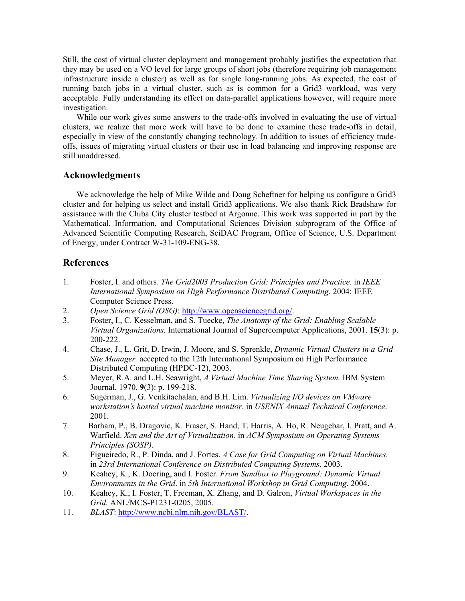Still, the cost of virtual cluster deployment and management probably justifies the expectation that they may be used on a VO level for large groups of short jobs (therefore requiring job management infrastructure inside a cluster) as well as for single long-running jobs. As expected, the cost of running batch jobs in a virtual cluster, such as is common for a Grid3 workload, was very acceptable. Fully understanding its effect on data-parallel applications however, will require more investigation.

While our work gives some answers to the trade-offs involved in evaluating the use of virtual clusters, we realize that more work will have to be done to examine these trade-offs in detail, especially in view of the constantly changing technology. In addition to issues of efficiency tradeoffs, issues of migrating virtual clusters or their use in load balancing and improving response are still unaddressed.

# **Acknowledgments**

We acknowledge the help of Mike Wilde and Doug Scheftner for helping us configure a Grid3 cluster and for helping us select and install Grid3 applications. We also thank Rick Bradshaw for assistance with the Chiba City cluster testbed at Argonne. This work was supported in part by the Mathematical, Information, and Computational Sciences Division subprogram of the Office of Advanced Scientific Computing Research, SciDAC Program, Office of Science, U.S. Department of Energy, under Contract W-31-109-ENG-38.

# **References**

- 1. Foster, I. and others. *The Grid2003 Production Grid: Principles and Practice*. in *IEEE International Symposium on High Performance Distributed Computing*. 2004: IEEE Computer Science Press.
- 2. *Open Science Grid (OSG)*: http://www.opensciencegrid.org/.
- 3. Foster, I., C. Kesselman, and S. Tuecke, *The Anatomy of the Grid: Enabling Scalable Virtual Organizations.* International Journal of Supercomputer Applications, 2001. **15**(3): p. 200-222.
- 4. Chase, J., L. Grit, D. Irwin, J. Moore, and S. Sprenkle, *Dynamic Virtual Clusters in a Grid Site Manager.* accepted to the 12th International Symposium on High Performance Distributed Computing (HPDC-12), 2003.
- 5. Meyer, R.A. and L.H. Seawright, *A Virtual Machine Time Sharing System.* IBM System Journal, 1970. **9**(3): p. 199-218.
- 6. Sugerman, J., G. Venkitachalan, and B.H. Lim. *Virtualizing I/O devices on VMware workstation's hosted virtual machine monitor*. in *USENIX Annual Technical Conference*. 2001.
- 7. Barham, P., B. Dragovic, K. Fraser, S. Hand, T. Harris, A. Ho, R. Neugebar, I. Pratt, and A. Warfield. *Xen and the Art of Virtualization*. in *ACM Symposium on Operating Systems Principles (SOSP)*.
- 8. Figueiredo, R., P. Dinda, and J. Fortes. *A Case for Grid Computing on Virtual Machines*. in *23rd International Conference on Distributed Computing Systems*. 2003.
- 9. Keahey, K., K. Doering, and I. Foster. *From Sandbox to Playground: Dynamic Virtual Environments in the Grid*. in *5th International Workshop in Grid Computing*. 2004.
- 10. Keahey, K., I. Foster, T. Freeman, X. Zhang, and D. Galron, *Virtual Workspaces in the Grid.* ANL/MCS-P1231-0205, 2005.
- 11. *BLAST*: http://www.ncbi.nlm.nih.gov/BLAST/.